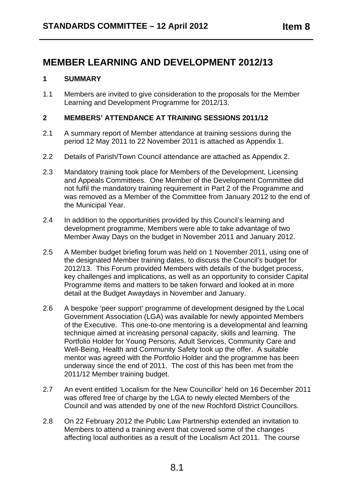# **MEMBER LEARNING AND DEVELOPMENT 2012/13**

#### **1 SUMMARY**

1.1 Members are invited to give consideration to the proposals for the Member Learning and Development Programme for 2012/13.

#### **2 MEMBERS' ATTENDANCE AT TRAINING SESSIONS 2011/12**

- 2.1 A summary report of Member attendance at training sessions during the period 12 May 2011 to 22 November 2011 is attached as Appendix 1.
- 2.2 Details of Parish/Town Council attendance are attached as Appendix 2.
- 2.3 Mandatory training took place for Members of the Development, Licensing and Appeals Committees. One Member of the Development Committee did not fulfil the mandatory training requirement in Part 2 of the Programme and was removed as a Member of the Committee from January 2012 to the end of the Municipal Year.
- 2.4 In addition to the opportunities provided by this Council's learning and development programme, Members were able to take advantage of two Member Away Days on the budget in November 2011 and January 2012.
- 2.5 A Member budget briefing forum was held on 1 November 2011, using one of the designated Member training dates, to discuss the Council's budget for 2012/13. This Forum provided Members with details of the budget process, key challenges and implications, as well as an opportunity to consider Capital Programme items and matters to be taken forward and looked at in more detail at the Budget Awaydays in November and January.
- 2.6 A bespoke 'peer support' programme of development designed by the Local Government Association (LGA) was available for newly appointed Members of the Executive. This one-to-one mentoring is a developmental and learning technique aimed at increasing personal capacity, skills and learning. The Portfolio Holder for Young Persons, Adult Services, Community Care and Well-Being, Health and Community Safety took up the offer. A suitable mentor was agreed with the Portfolio Holder and the programme has been underway since the end of 2011. The cost of this has been met from the 2011/12 Member training budget.
- 2.7 An event entitled 'Localism for the New Councillor' held on 16 December 2011 was offered free of charge by the LGA to newly elected Members of the Council and was attended by one of the new Rochford District Councillors.
- 2.8 On 22 February 2012 the Public Law Partnership extended an invitation to Members to attend a training event that covered some of the changes affecting local authorities as a result of the Localism Act 2011. The course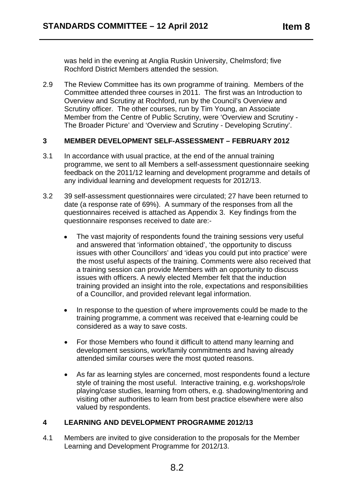was held in the evening at Anglia Ruskin University, Chelmsford; five Rochford District Members attended the session.

2.9 The Review Committee has its own programme of training. Members of the Committee attended three courses in 2011. The first was an Introduction to Overview and Scrutiny at Rochford, run by the Council's Overview and Scrutiny officer. The other courses, run by Tim Young, an Associate Member from the Centre of Public Scrutiny, were 'Overview and Scrutiny - The Broader Picture' and 'Overview and Scrutiny - Developing Scrutiny'.

#### **3 MEMBER DEVELOPMENT SELF-ASSESSMENT – FEBRUARY 2012**

- 3.1 In accordance with usual practice, at the end of the annual training programme, we sent to all Members a self-assessment questionnaire seeking feedback on the 2011/12 learning and development programme and details of any individual learning and development requests for 2012/13.
- 3.2 39 self-assessment questionnaires were circulated; 27 have been returned to date (a response rate of 69%). A summary of the responses from all the questionnaires received is attached as Appendix 3. Key findings from the questionnaire responses received to date are:-
	- The vast majority of respondents found the training sessions very useful and answered that 'information obtained', 'the opportunity to discuss issues with other Councillors' and 'ideas you could put into practice' were the most useful aspects of the training. Comments were also received that a training session can provide Members with an opportunity to discuss issues with officers. A newly elected Member felt that the induction training provided an insight into the role, expectations and responsibilities of a Councillor, and provided relevant legal information.
	- In response to the question of where improvements could be made to the training programme, a comment was received that e-learning could be considered as a way to save costs.
	- For those Members who found it difficult to attend many learning and development sessions, work/family commitments and having already attended similar courses were the most quoted reasons.
	- As far as learning styles are concerned, most respondents found a lecture style of training the most useful. Interactive training, e.g. workshops/role playing/case studies, learning from others, e.g. shadowing/mentoring and visiting other authorities to learn from best practice elsewhere were also valued by respondents.

### **4 LEARNING AND DEVELOPMENT PROGRAMME 2012/13**

4.1 Members are invited to give consideration to the proposals for the Member Learning and Development Programme for 2012/13.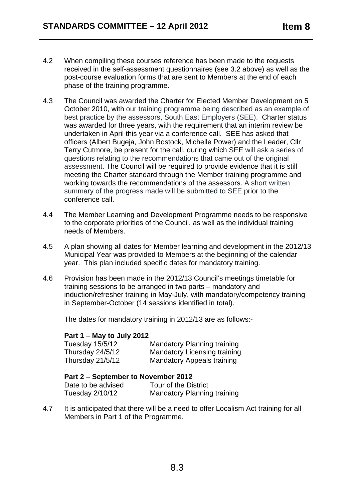- 4.2 When compiling these courses reference has been made to the requests received in the self-assessment questionnaires (see 3.2 above) as well as the post-course evaluation forms that are sent to Members at the end of each phase of the training programme.
- 4.3 The Council was awarded the Charter for Elected Member Development on 5 October 2010, with our training programme being described as an example of best practice by the assessors, South East Employers (SEE). Charter status was awarded for three years, with the requirement that an interim review be undertaken in April this year via a conference call. SEE has asked that officers (Albert Bugeja, John Bostock, Michelle Power) and the Leader, Cllr Terry Cutmore, be present for the call, during which SEE will ask a series of questions relating to the recommendations that came out of the original assessment. The Council will be required to provide evidence that it is still meeting the Charter standard through the Member training programme and working towards the recommendations of the assessors. A short written summary of the progress made will be submitted to SEE prior to the conference call.
- 4.4 The Member Learning and Development Programme needs to be responsive to the corporate priorities of the Council, as well as the individual training needs of Members.
- 4.5 A plan showing all dates for Member learning and development in the 2012/13 Municipal Year was provided to Members at the beginning of the calendar year. This plan included specific dates for mandatory training.
- 4.6 Provision has been made in the 2012/13 Council's meetings timetable for training sessions to be arranged in two parts – mandatory and induction/refresher training in May-July, with mandatory/competency training in September-October (14 sessions identified in total).

The dates for mandatory training in 2012/13 are as follows:-

### **Part 1 – May to July 2012**

| Tuesday 15/5/12  | <b>Mandatory Planning training</b>  |
|------------------|-------------------------------------|
| Thursday 24/5/12 | <b>Mandatory Licensing training</b> |
| Thursday 21/5/12 | Mandatory Appeals training          |

#### **Part 2 – September to November 2012**

| Date to be advised | Tour of the District        |
|--------------------|-----------------------------|
| Tuesday 2/10/12    | Mandatory Planning training |

4.7 It is anticipated that there will be a need to offer Localism Act training for all Members in Part 1 of the Programme.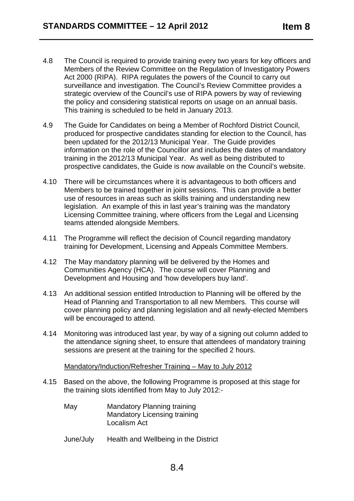- 4.8 The Council is required to provide training every two years for key officers and Members of the Review Committee on the Regulation of Investigatory Powers Act 2000 (RIPA). RIPA regulates the powers of the Council to carry out surveillance and investigation. The Council's Review Committee provides a strategic overview of the Council's use of RIPA powers by way of reviewing the policy and considering statistical reports on usage on an annual basis. This training is scheduled to be held in January 2013.
- 4.9 The Guide for Candidates on being a Member of Rochford District Council, produced for prospective candidates standing for election to the Council, has been updated for the 2012/13 Municipal Year. The Guide provides information on the role of the Councillor and includes the dates of mandatory training in the 2012/13 Municipal Year. As well as being distributed to prospective candidates, the Guide is now available on the Council's website.
- 4.10 There will be circumstances where it is advantageous to both officers and Members to be trained together in joint sessions. This can provide a better use of resources in areas such as skills training and understanding new legislation. An example of this in last year's training was the mandatory Licensing Committee training, where officers from the Legal and Licensing teams attended alongside Members.
- 4.11 The Programme will reflect the decision of Council regarding mandatory training for Development, Licensing and Appeals Committee Members.
- 4.12 The May mandatory planning will be delivered by the Homes and Communities Agency (HCA). The course will cover Planning and Development and Housing and 'how developers buy land'.
- 4.13 An additional session entitled Introduction to Planning will be offered by the Head of Planning and Transportation to all new Members. This course will cover planning policy and planning legislation and all newly-elected Members will be encouraged to attend.
- 4.14 Monitoring was introduced last year, by way of a signing out column added to the attendance signing sheet, to ensure that attendees of mandatory training sessions are present at the training for the specified 2 hours.

Mandatory/Induction/Refresher Training – May to July 2012

- 4.15 Based on the above, the following Programme is proposed at this stage for the training slots identified from May to July 2012:-
	- May Mandatory Planning training Mandatory Licensing training Localism Act
	- June/July Health and Wellbeing in the District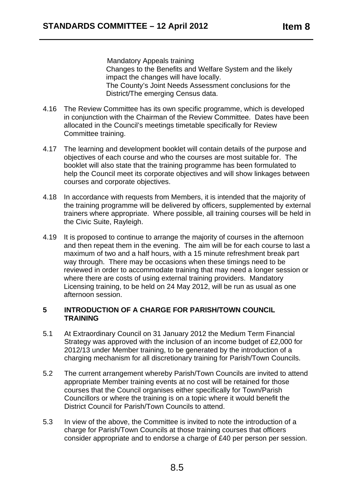Mandatory Appeals training Changes to the Benefits and Welfare System and the likely impact the changes will have locally. The County's Joint Needs Assessment conclusions for the District/The emerging Census data.

- 4.16 The Review Committee has its own specific programme, which is developed in conjunction with the Chairman of the Review Committee. Dates have been allocated in the Council's meetings timetable specifically for Review Committee training.
- 4.17 The learning and development booklet will contain details of the purpose and objectives of each course and who the courses are most suitable for. The booklet will also state that the training programme has been formulated to help the Council meet its corporate objectives and will show linkages between courses and corporate objectives.
- 4.18 In accordance with requests from Members, it is intended that the majority of the training programme will be delivered by officers, supplemented by external trainers where appropriate. Where possible, all training courses will be held in the Civic Suite, Rayleigh.
- 4.19 It is proposed to continue to arrange the majority of courses in the afternoon and then repeat them in the evening. The aim will be for each course to last a maximum of two and a half hours, with a 15 minute refreshment break part way through. There may be occasions when these timings need to be reviewed in order to accommodate training that may need a longer session or where there are costs of using external training providers. Mandatory Licensing training, to be held on 24 May 2012, will be run as usual as one afternoon session.

#### **5 INTRODUCTION OF A CHARGE FOR PARISH/TOWN COUNCIL TRAINING**

- 5.1 At Extraordinary Council on 31 January 2012 the Medium Term Financial Strategy was approved with the inclusion of an income budget of £2,000 for 2012/13 under Member training, to be generated by the introduction of a charging mechanism for all discretionary training for Parish/Town Councils.
- 5.2 The current arrangement whereby Parish/Town Councils are invited to attend appropriate Member training events at no cost will be retained for those courses that the Council organises either specifically for Town/Parish Councillors or where the training is on a topic where it would benefit the District Council for Parish/Town Councils to attend.
- 5.3 In view of the above, the Committee is invited to note the introduction of a charge for Parish/Town Councils at those training courses that officers consider appropriate and to endorse a charge of £40 per person per session.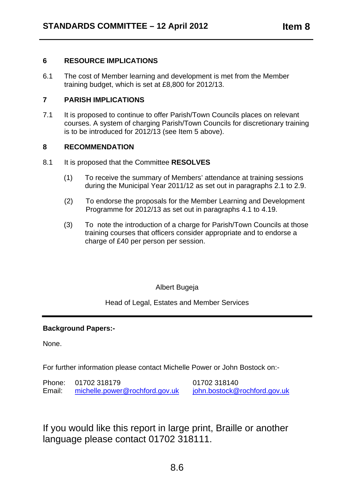#### **6 RESOURCE IMPLICATIONS**

6.1 The cost of Member learning and development is met from the Member training budget, which is set at £8,800 for 2012/13.

#### **7 PARISH IMPLICATIONS**

7.1 It is proposed to continue to offer Parish/Town Councils places on relevant courses. A system of charging Parish/Town Councils for discretionary training is to be introduced for 2012/13 (see Item 5 above).

#### **8 RECOMMENDATION**

- 8.1 It is proposed that the Committee **RESOLVES** 
	- (1) To receive the summary of Members' attendance at training sessions during the Municipal Year 2011/12 as set out in paragraphs 2.1 to 2.9.
	- (2) To endorse the proposals for the Member Learning and Development Programme for 2012/13 as set out in paragraphs 4.1 to 4.19.
	- (3) To note the introduction of a charge for Parish/Town Councils at those training courses that officers consider appropriate and to endorse a charge of £40 per person per session.

### Albert Bugeja

Head of Legal, Estates and Member Services

### **Background Papers:-**

None.

For further information please contact Michelle Power or John Bostock on:-

Phone: 01702 318179 01702 318140 Email: michelle.power@rochford.gov.uk john.bostock@rochford.gov.uk

If you would like this report in large print, Braille or another language please contact 01702 318111.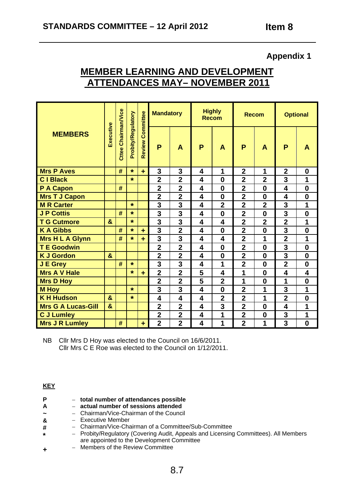# **MEMBER LEARNING AND DEVELOPMENT ATTENDANCES MAY– NOVEMBER 2011**

|                           |                       |                            |                    |                         | <b>Mandatory</b>        |                         | <b>Highly</b><br><b>Recom</b> |                  | <b>Recom</b>            |                | <b>Optional</b>         |                         |
|---------------------------|-----------------------|----------------------------|--------------------|-------------------------|-------------------------|-------------------------|-------------------------------|------------------|-------------------------|----------------|-------------------------|-------------------------|
| <b>MEMBERS</b>            | Executive             | <b>Cttee Chairman/Vice</b> | Probity/Regulatory | <b>Review Committee</b> | P                       | $\mathsf{A}$            | P                             | $\mathsf{A}$     | P                       | A              | P                       | A                       |
| <b>Mrs P Aves</b>         |                       | #                          | $\star$            | ÷                       | 3                       | 3                       | 4                             | 1                | $\overline{2}$          | 1              | $\mathbf 2$             | $\mathbf 0$             |
| <b>CIBlack</b>            |                       |                            | $\star$            |                         | $\overline{2}$          | $\overline{\mathbf{2}}$ | 4                             | $\bf{0}$         | $\overline{2}$          | $\mathbf{2}$   | 3                       | 1                       |
| P A Capon                 |                       | #                          |                    |                         | $\overline{2}$          | $\overline{2}$          | $\overline{\mathbf{4}}$       | $\bf{0}$         | $\overline{2}$          | $\bf{0}$       | $\overline{\mathbf{4}}$ | $\bf{0}$                |
| <b>Mrs T J Capon</b>      |                       |                            |                    |                         | $\overline{2}$          | $\overline{\mathbf{2}}$ | 4                             | $\mathbf 0$      | $\overline{2}$          | $\bf{0}$       | 4                       | $\bf{0}$                |
| <b>M R Carter</b>         |                       |                            | $\star$            |                         | $\overline{\mathbf{3}}$ | $\overline{\mathbf{3}}$ | $\overline{\mathbf{4}}$       | $\overline{2}$   | $\overline{2}$          | $\overline{2}$ | 3                       | 1                       |
| <b>J P Cottis</b>         |                       | #                          | $\star$            |                         | $\overline{\mathbf{3}}$ | $\overline{\mathbf{3}}$ | $\overline{\mathbf{4}}$       | $\bf{0}$         | $\overline{2}$          | $\bf{0}$       | $\overline{\mathbf{3}}$ | $\bf{0}$                |
| <b>T G Cutmore</b>        | $\mathbf{g}$          |                            | $\star$            |                         | 3                       | 3                       | $\overline{\mathbf{4}}$       | 4                | $\overline{2}$          | $\overline{2}$ | $\overline{2}$          | 1                       |
| <b>KA Gibbs</b>           |                       | #                          | $\star$            | ÷                       | 3                       | $\overline{2}$          | 4                             | $\bf{0}$         | $\overline{2}$          | $\bf{0}$       | 3                       | $\bf{0}$                |
| <b>Mrs H L A Glynn</b>    |                       | #                          | $\star$            | ÷                       | 3                       | 3                       | 4                             | 4                | $\overline{2}$          | 1              | $\overline{2}$          | 1                       |
| <b>T E Goodwin</b>        |                       |                            |                    |                         | $\overline{2}$          | $\overline{2}$          | $\overline{\mathbf{4}}$       | $\bf{0}$         | $\overline{2}$          | $\bf{0}$       | $\overline{3}$          | $\bf{0}$                |
| <b>K J Gordon</b>         | &                     |                            |                    |                         | $\overline{2}$          | $\overline{2}$          | $\overline{\mathbf{4}}$       | $\boldsymbol{0}$ | $\overline{\mathbf{2}}$ | $\bf{0}$       | $\overline{3}$          | $\bf{0}$                |
| J E Grey                  |                       | #                          | $\star$            |                         | 3                       | 3                       | $\overline{\mathbf{4}}$       | 1                | $\overline{\mathbf{2}}$ | $\bf{0}$       | $\overline{2}$          | $\bf{0}$                |
| <b>Mrs A V Hale</b>       |                       |                            | $\star$            | ٠                       | $\overline{2}$          | $\overline{2}$          | 5                             | 4                | 1                       | $\bf{0}$       | $\overline{\mathbf{4}}$ | $\overline{\mathbf{4}}$ |
| <b>Mrs D Hoy</b>          |                       |                            |                    |                         | $\overline{2}$          | $\overline{2}$          | 5                             | $\overline{2}$   | 1                       | $\bf{0}$       | 1                       | $\bf{0}$                |
| <b>M Hoy</b>              |                       |                            | $\star$            |                         | 3                       | 3                       | $\overline{\mathbf{4}}$       | $\bf{0}$         | $\overline{\mathbf{2}}$ | 1              | 3                       | 1                       |
| <b>KH Hudson</b>          | $\mathbf{8}$          |                            | $\star$            |                         | $\overline{\mathbf{4}}$ | $\overline{\mathbf{4}}$ | $\overline{\mathbf{4}}$       | $\overline{2}$   | $\overline{2}$          | 1              | $\overline{2}$          | $\bf{0}$                |
| <b>Mrs G A Lucas-Gill</b> | $\boldsymbol{\alpha}$ |                            |                    |                         | $\overline{2}$          | $\overline{2}$          | $\overline{\mathbf{4}}$       | 3                | $\overline{2}$          | $\bf{0}$       | 4                       | 1                       |
| <b>C J Lumley</b>         |                       |                            |                    |                         | $\overline{2}$          | $\overline{2}$          | 4                             | 1                | $\overline{2}$          | $\bf{0}$       | 3                       | 1                       |
| <b>Mrs J R Lumley</b>     |                       | #                          |                    | $\ddot{}$               | $\overline{2}$          | $\overline{2}$          | 4                             | 1                | $\overline{2}$          | 1              | $\overline{3}$          | $\mathbf 0$             |

NB Cllr Mrs D Hoy was elected to the Council on 16/6/2011. Cllr Mrs C E Roe was elected to the Council on 1/12/2011.

#### **KEY**

**\***

- **P**  – **total number of attendances possible**
- **A**  – **actual number of sessions attended**
- **~**  – Chairman/Vice-Chairman of the Council
- **&**  – Executive Member
- **#**  – Chairman/Vice-Chairman of a Committee/Sub-Committee
	- Probity/Regulatory (Covering Audit, Appeals and Licensing Committees). All Members are appointed to the Development Committee
- **+** – Members of the Review Committee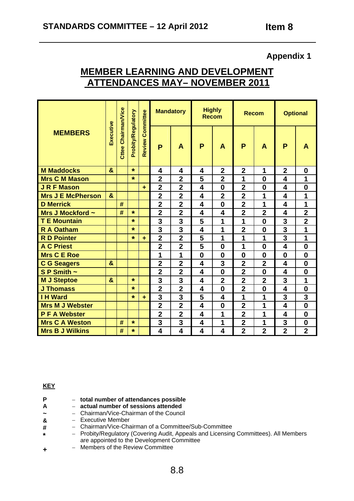# **MEMBER LEARNING AND DEVELOPMENT ATTENDANCES MAY– NOVEMBER 2011**

|                          |              |                            |                    |                         | <b>Mandatory</b> |                         | <b>Highly</b><br><b>Recom</b> |                         | <b>Recom</b>            |                         | <b>Optional</b>         |                         |
|--------------------------|--------------|----------------------------|--------------------|-------------------------|------------------|-------------------------|-------------------------------|-------------------------|-------------------------|-------------------------|-------------------------|-------------------------|
| <b>MEMBERS</b>           | Executive    | <b>Cttee Chairman/Vice</b> | Probity/Regulatory | <b>Review Committee</b> | P                | A                       | P                             | $\blacktriangle$        | P                       | A                       | P                       | A                       |
| <b>M</b> Maddocks        | $\mathbf{a}$ |                            | $\star$            |                         | 4                | 4                       | 4                             | $\overline{2}$          | $\overline{2}$          | 1                       | $\overline{2}$          | $\bf{0}$                |
| <b>Mrs C M Mason</b>     |              |                            | $\star$            |                         | $\overline{2}$   | $\overline{\mathbf{2}}$ | 5                             | $\overline{\mathbf{2}}$ | 1                       | $\bf{0}$                | 4                       | 1                       |
| <b>J R F Mason</b>       |              |                            |                    | ÷                       | $\overline{2}$   | $\overline{2}$          | $\overline{\mathbf{4}}$       | $\bf{0}$                | $\overline{2}$          | $\bf{0}$                | 4                       | $\bf{0}$                |
| <b>Mrs J E McPherson</b> | $\mathbf{a}$ |                            |                    |                         | $\overline{2}$   | $\overline{2}$          | 4                             | $\overline{2}$          | $\overline{2}$          | 1                       | 4                       | 1                       |
| <b>D</b> Merrick         |              | #                          |                    |                         | $\overline{2}$   | $\overline{2}$          | 4                             | $\boldsymbol{0}$        | $\overline{2}$          | 1                       | 4                       | 1                       |
| Mrs J Mockford ~         |              | #                          | $\star$            |                         | $\overline{2}$   | $\overline{2}$          | $\overline{\mathbf{4}}$       | $\overline{\mathbf{4}}$ | $\overline{2}$          | $\overline{2}$          | $\overline{\mathbf{4}}$ | $\overline{2}$          |
| <b>T E Mountain</b>      |              |                            | $\star$            |                         | 3                | 3                       | 5                             | 1                       | 1                       | $\bf{0}$                | 3                       | $\overline{\mathbf{2}}$ |
| <b>R A Oatham</b>        |              |                            | $\star$            |                         | 3                | 3                       | 4                             | 1                       | $\overline{2}$          | $\bf{0}$                | 3                       | 1                       |
| <b>R D Pointer</b>       |              |                            | $\star$            | ÷                       | $\overline{2}$   | $\overline{2}$          | 5                             | 1                       | 1                       | 1                       | 3                       | 1                       |
| <b>A C Priest</b>        |              |                            |                    |                         | $\overline{2}$   | $\overline{2}$          | 5                             | $\bf{0}$                | 1                       | $\bf{0}$                | $\overline{\mathbf{4}}$ | $\bf{0}$                |
| <b>Mrs C E Roe</b>       |              |                            |                    |                         | 1                | 1                       | $\bf{0}$                      | $\bf{0}$                | $\bf{0}$                | $\bf{0}$                | $\bf{0}$                | $\bf{0}$                |
| <b>C G Seagers</b>       | $\mathbf{g}$ |                            |                    |                         | $\overline{2}$   | $\overline{2}$          | $\overline{\mathbf{4}}$       | 3                       | $\overline{2}$          | $\overline{2}$          | 4                       | $\bf{0}$                |
| S P Smith $\sim$         |              |                            |                    |                         | $\overline{2}$   | $\overline{2}$          | 4                             | $\bf{0}$                | $\overline{2}$          | $\bf{0}$                | 4                       | $\bf{0}$                |
| <b>M J Steptoe</b>       | $\mathbf{8}$ |                            | $\star$            |                         | 3                | 3                       | 4                             | $\overline{2}$          | $\overline{2}$          | $\overline{2}$          | 3                       | 1                       |
| <b>J Thomass</b>         |              |                            | $\star$            |                         | $\overline{2}$   | $\overline{2}$          | $\overline{\mathbf{4}}$       | $\bf{0}$                | $\overline{2}$          | $\bf{0}$                | 4                       | $\mathbf 0$             |
| <b>I H Ward</b>          |              |                            | $\star$            | ÷                       | 3                | 3                       | 5                             | 4                       | 1                       | 1                       | 3                       | 3                       |
| <b>Mrs M J Webster</b>   |              |                            |                    |                         | $\overline{2}$   | $\overline{2}$          | 4                             | $\bf{0}$                | $\overline{2}$          | 1                       | $\overline{\mathbf{4}}$ | $\bf{0}$                |
| <b>PFA Webster</b>       |              |                            |                    |                         | $\overline{2}$   | $\overline{2}$          | 4                             | 1                       | $\overline{2}$          | 1                       | 4                       | $\bf{0}$                |
| <b>Mrs C A Weston</b>    |              | #                          | $\star$            |                         | 3                | 3                       | 4                             | 1                       | $\overline{\mathbf{2}}$ | 1                       | 3                       | $\boldsymbol{0}$        |
| <b>Mrs B J Wilkins</b>   |              | #                          | $\star$            |                         | 4                | 4                       | 4                             | 4                       | $\overline{2}$          | $\overline{\mathbf{2}}$ | $\overline{2}$          | $\overline{\mathbf{2}}$ |

#### **KEY**

**\***

- **P**  – **total number of attendances possible**
- **A**  – **actual number of sessions attended**
- **~**  – Chairman/Vice-Chairman of the Council
- **&**  – Executive Member
- **#**  – Chairman/Vice-Chairman of a Committee/Sub-Committee
	- Probity/Regulatory (Covering Audit, Appeals and Licensing Committees). All Members are appointed to the Development Committee
- **+** – Members of the Review Committee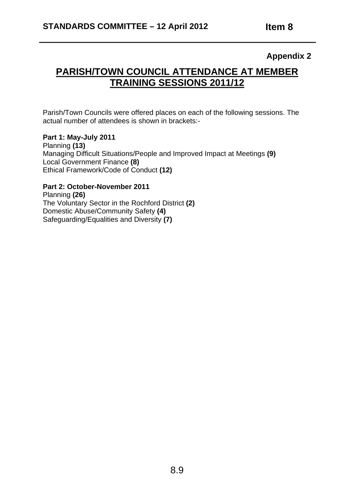# **PARISH/TOWN COUNCIL ATTENDANCE AT MEMBER TRAINING SESSIONS 2011/12**

Parish/Town Councils were offered places on each of the following sessions. The actual number of attendees is shown in brackets:-

#### **Part 1: May-July 2011**

Planning **(13)**  Managing Difficult Situations/People and Improved Impact at Meetings **(9)**  Local Government Finance **(8)** Ethical Framework/Code of Conduct **(12)** 

#### **Part 2: October-November 2011**

Planning **(26)**  The Voluntary Sector in the Rochford District **(2)**  Domestic Abuse/Community Safety **(4)**  Safeguarding/Equalities and Diversity **(7)**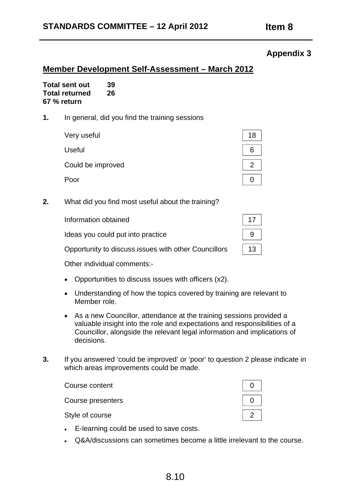## **STANDARDS COMMITTEE – 12 April 2012 Item 8**

## **Appendix 3**

## **Member Development Self-Assessment – March 2012**

| <b>Total sent out</b> | 39 |
|-----------------------|----|
| <b>Total returned</b> | 26 |
| 67 % return           |    |

**1.** In general, did you find the training sessions

| Very useful       |  |
|-------------------|--|
| <b>Useful</b>     |  |
| Could be improved |  |
| Poor              |  |

**2.** What did you find most useful about the training?

| Information obtained                                 |    |
|------------------------------------------------------|----|
| Ideas you could put into practice                    |    |
| Opportunity to discuss issues with other Councillors | 13 |
|                                                      |    |

Other individual comments:-

- Opportunities to discuss issues with officers (x2).
- Understanding of how the topics covered by training are relevant to Member role.
- As a new Councillor, attendance at the training sessions provided a valuable insight into the role and expectations and responsibilities of a Councillor, alongside the relevant legal information and implications of decisions.
- **3.** If you answered 'could be improved' or 'poor' to question 2 please indicate in which areas improvements could be made.

| Course content    |  |
|-------------------|--|
| Course presenters |  |
| Style of course   |  |

- • E-learning could be used to save costs.
- Q&A/discussions can sometimes become a little irrelevant to the course.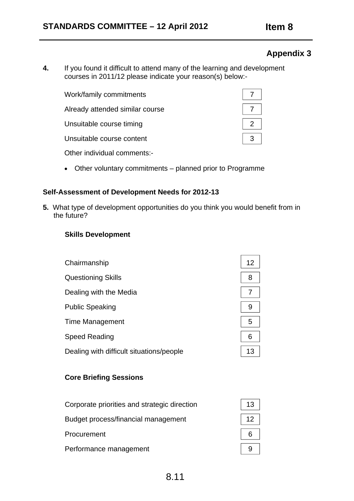**4.** If you found it difficult to attend many of the learning and development courses in 2011/12 please indicate your reason(s) below:-

| Work/family commitments         |  |
|---------------------------------|--|
| Already attended similar course |  |
| Unsuitable course timing        |  |
| Unsuitable course content       |  |
| Other individual comments:-     |  |

• Other voluntary commitments – planned prior to Programme

### **Self-Assessment of Development Needs for 2012-13**

**5.** What type of development opportunities do you think you would benefit from in the future?

#### **Skills Development**

| Chairmanship                             | 12 |
|------------------------------------------|----|
| <b>Questioning Skills</b>                | 8  |
| Dealing with the Media                   |    |
| <b>Public Speaking</b>                   | 9  |
| Time Management                          | 5  |
| <b>Speed Reading</b>                     | 6  |
| Dealing with difficult situations/people | 13 |

### **Core Briefing Sessions**

| Corporate priorities and strategic direction |  |
|----------------------------------------------|--|
| Budget process/financial management          |  |
| Procurement                                  |  |
| Performance management                       |  |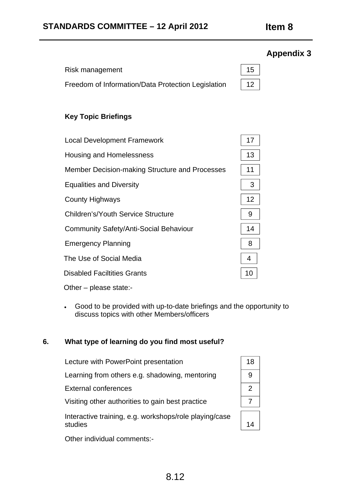# Risk management 15 Freedom of Information/Data Protection Legislation | 12

# **Key Topic Briefings**

| <b>Local Development Framework</b>             | 17              |
|------------------------------------------------|-----------------|
| <b>Housing and Homelessness</b>                | 13              |
| Member Decision-making Structure and Processes | 11              |
| <b>Equalities and Diversity</b>                | 3               |
| <b>County Highways</b>                         | 12 <sup>2</sup> |
| <b>Children's/Youth Service Structure</b>      | 9               |
| <b>Community Safety/Anti-Social Behaviour</b>  | 14              |
| <b>Emergency Planning</b>                      | 8               |
| The Use of Social Media                        | 4               |
| <b>Disabled Faciltities Grants</b>             | 10              |
| Other – please state:-                         |                 |

• Good to be provided with up-to-date briefings and the opportunity to discuss topics with other Members/officers

## **6. What type of learning do you find most useful?**

| Lecture with PowerPoint presentation                              | 18 |
|-------------------------------------------------------------------|----|
| Learning from others e.g. shadowing, mentoring                    |    |
| <b>External conferences</b>                                       |    |
| Visiting other authorities to gain best practice                  |    |
| Interactive training, e.g. workshops/role playing/case<br>studies |    |

Other individual comments:-

| 18                  |  |
|---------------------|--|
| 9                   |  |
| 2                   |  |
| 7                   |  |
| $\overline{4}$<br>1 |  |

# **Appendix 3**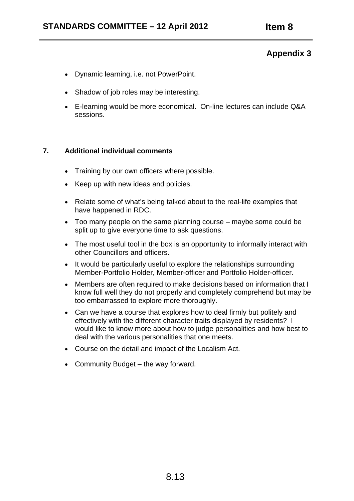- Dynamic learning, i.e. not PowerPoint.
- Shadow of job roles may be interesting.
- E-learning would be more economical. On-line lectures can include Q&A sessions.

#### **7. Additional individual comments**

- Training by our own officers where possible.
- Keep up with new ideas and policies.
- Relate some of what's being talked about to the real-life examples that have happened in RDC.
- Too many people on the same planning course maybe some could be split up to give everyone time to ask questions.
- The most useful tool in the box is an opportunity to informally interact with other Councillors and officers.
- It would be particularly useful to explore the relationships surrounding Member-Portfolio Holder, Member-officer and Portfolio Holder-officer.
- Members are often required to make decisions based on information that I know full well they do not properly and completely comprehend but may be too embarrassed to explore more thoroughly.
- Can we have a course that explores how to deal firmly but politely and effectively with the different character traits displayed by residents? I would like to know more about how to judge personalities and how best to deal with the various personalities that one meets.
- Course on the detail and impact of the Localism Act.
- Community Budget the way forward.